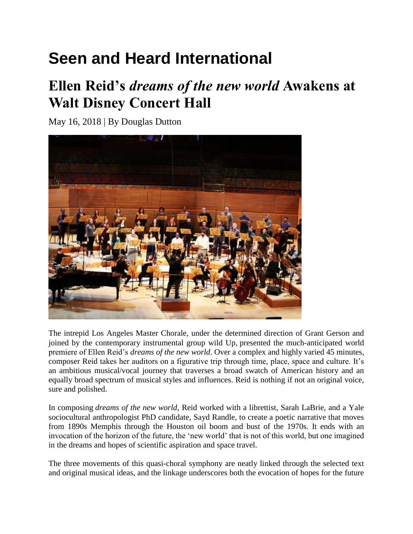## **Seen and Heard International**

## **Ellen Reid's** *dreams of the new world* **Awakens at Walt Disney Concert Hall**

May 16, 2018 | By Douglas Dutton



The intrepid Los Angeles Master Chorale, under the determined direction of Grant Gerson and joined by the contemporary instrumental group wild Up*,* presented the much-anticipated world premiere of Ellen Reid's *dreams of the new world*. Over a complex and highly varied 45 minutes, composer Reid takes her auditors on a figurative trip through time, place, space and culture. It's an ambitious musical/vocal journey that traverses a broad swatch of American history and an equally broad spectrum of musical styles and influences. Reid is nothing if not an original voice, sure and polished.

In composing *dreams of the new world*, Reid worked with a librettist, Sarah LaBrie, and a Yale sociocultural anthropologist PhD candidate, Sayd Randle, to create a poetic narrative that moves from 1890s Memphis through the Houston oil boom and bust of the 1970s. It ends with an invocation of the horizon of the future, the 'new world' that is not of this world, but one imagined in the dreams and hopes of scientific aspiration and space travel.

The three movements of this quasi-choral symphony are neatly linked through the selected text and original musical ideas, and the linkage underscores both the evocation of hopes for the future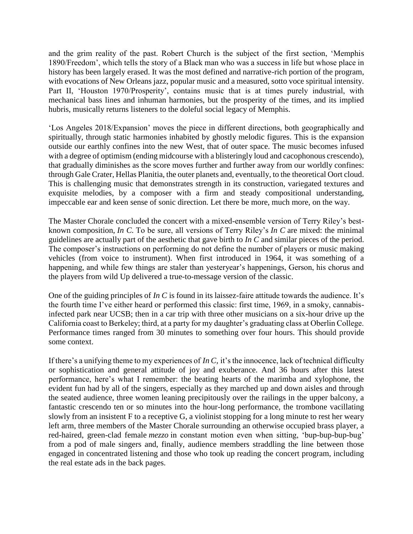and the grim reality of the past. Robert Church is the subject of the first section, 'Memphis 1890/Freedom', which tells the story of a Black man who was a success in life but whose place in history has been largely erased. It was the most defined and narrative-rich portion of the program, with evocations of New Orleans jazz, popular music and a measured, sotto voce spiritual intensity. Part II, 'Houston 1970/Prosperity', contains music that is at times purely industrial, with mechanical bass lines and inhuman harmonies, but the prosperity of the times, and its implied hubris, musically returns listeners to the doleful social legacy of Memphis.

'Los Angeles 2018/Expansion' moves the piece in different directions, both geographically and spiritually, through static harmonies inhabited by ghostly melodic figures. This is the expansion outside our earthly confines into the new West, that of outer space. The music becomes infused with a degree of optimism (ending midcourse with a blisteringly loud and cacophonous crescendo), that gradually diminishes as the score moves further and further away from our worldly confines: through Gale Crater, Hellas Planitia, the outer planets and, eventually, to the theoretical Oort cloud. This is challenging music that demonstrates strength in its construction, variegated textures and exquisite melodies, by a composer with a firm and steady compositional understanding, impeccable ear and keen sense of sonic direction. Let there be more, much more, on the way.

The Master Chorale concluded the concert with a mixed-ensemble version of Terry Riley's bestknown composition, *In C.* To be sure, all versions of Terry Riley's *In C* are mixed: the minimal guidelines are actually part of the aesthetic that gave birth to *In C* and similar pieces of the period. The composer's instructions on performing do not define the number of players or music making vehicles (from voice to instrument). When first introduced in 1964, it was something of a happening, and while few things are staler than yesteryear's happenings, Gerson, his chorus and the players from wild Up delivered a true-to-message version of the classic.

One of the guiding principles of *In C* is found in its laissez-faire attitude towards the audience. It's the fourth time I've either heard or performed this classic: first time, 1969, in a smoky, cannabisinfected park near UCSB; then in a car trip with three other musicians on a six-hour drive up the California coast to Berkeley; third, at a party for my daughter's graduating class at Oberlin College. Performance times ranged from 30 minutes to something over four hours. This should provide some context.

If there's a unifying theme to my experiences of *In C,* it's the innocence, lack of technical difficulty or sophistication and general attitude of joy and exuberance. And 36 hours after this latest performance, here's what I remember: the beating hearts of the marimba and xylophone, the evident fun had by all of the singers, especially as they marched up and down aisles and through the seated audience, three women leaning precipitously over the railings in the upper balcony, a fantastic crescendo ten or so minutes into the hour-long performance, the trombone vacillating slowly from an insistent F to a receptive G, a violinist stopping for a long minute to rest her weary left arm, three members of the Master Chorale surrounding an otherwise occupied brass player, a red-haired, green-clad female *mezzo* in constant motion even when sitting, 'bup-bup-bup-bug' from a pod of male singers and, finally, audience members straddling the line between those engaged in concentrated listening and those who took up reading the concert program, including the real estate ads in the back pages.